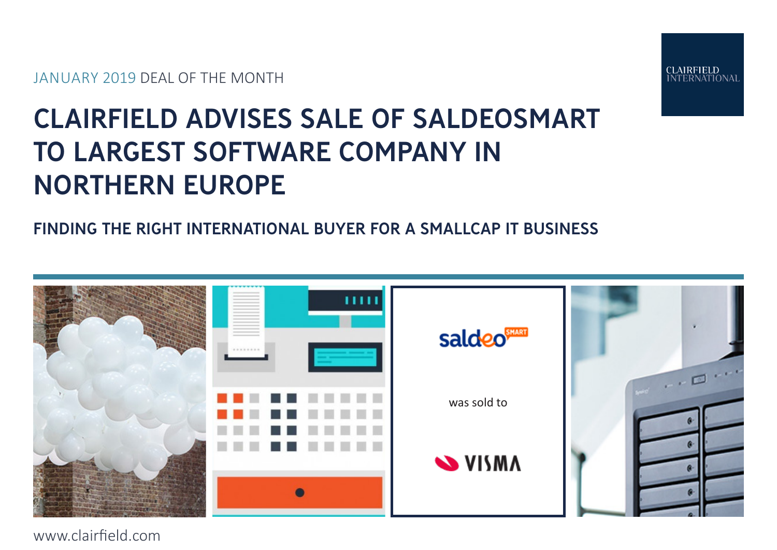JANUARY 2019 DEAL OF THE MONTH



# CLAIRFIELD ADVISES SALE OF SALDEOSMART TO LARGEST SOFTWARE COMPANY IN NORTHERN EUROPE

# FINDING THE RIGHT INTERNATIONAL BUYER FOR A SMALLCAP IT BUSINESS



www.clairfield.com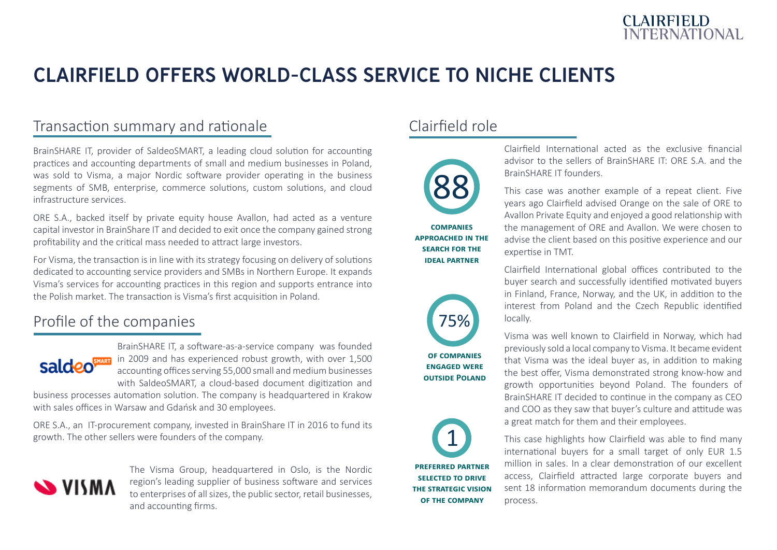

# CLAIRFIELD OFFERS WORLD-CLASS SERVICE TO NICHE CLIENTS

#### Transaction summary and rationale

BrainSHARE IT, provider of SaldeoSMART, a leading cloud solution for accounting practices and accounting departments of small and medium businesses in Poland, was sold to Visma, a major Nordic software provider operating in the business segments of SMB, enterprise, commerce solutions, custom solutions, and cloud infrastructure services.

ORE S.A., backed itself by private equity house Avallon, had acted as a venture capital investor in BrainShare IT and decided to exit once the company gained strong profitability and the critical mass needed to attract large investors.

For Visma, the transaction is in line with its strategy focusing on delivery of solutions dedicated to accounting service providers and SMBs in Northern Europe. It expands Visma's services for accounting practices in this region and supports entrance into the Polish market. The transaction is Visma's first acquisition in Poland.

#### Profile of the companies



BrainSHARE IT, a software-as-a-service company was founded **Salcteo State** in 2009 and has experienced robust growth, with over 1,500 accounting offices serving 55,000 small and medium businesses with SaldeoSMART, a cloud-based document digitization and

business processes automation solution. The company is headquartered in Krakow with sales offices in Warsaw and Gdańsk and 30 employees.

ORE S.A., an IT-procurement company, invested in BrainShare IT in 2016 to fund its growth. The other sellers were founders of the company.



The Visma Group, headquartered in Oslo, is the Nordic region's leading supplier of business software and services to enterprises of all sizes, the public sector, retail businesses, and accounting firms.

#### Clairfield role



**companies approached in the SEARCH FOR THE ideal partner**



**of companies engaged were outside Poland**



**preferred partner selected to drive the strategic vision of the company**

Clairfield International acted as the exclusive financial advisor to the sellers of BrainSHARE IT: ORE S.A. and the BrainSHARE IT founders.

This case was another example of a repeat client. Five years ago Clairfield advised Orange on the sale of ORE to Avallon Private Equity and enjoyed a good relationship with the management of ORE and Avallon. We were chosen to advise the client based on this positive experience and our expertise in TMT.

Clairfield International global offices contributed to the buyer search and successfully identified motivated buyers in Finland, France, Norway, and the UK, in addition to the interest from Poland and the Czech Republic identified locally.

Visma was well known to Clairfield in Norway, which had previously sold a local company to Visma. It became evident that Visma was the ideal buyer as, in addition to making the best offer, Visma demonstrated strong know-how and growth opportunities beyond Poland. The founders of BrainSHARE IT decided to continue in the company as CEO and COO as they saw that buyer's culture and attitude was a great match for them and their employees.

This case highlights how Clairfield was able to find many international buyers for a small target of only EUR 1.5 million in sales. In a clear demonstration of our excellent access, Clairfield attracted large corporate buyers and sent 18 information memorandum documents during the process.